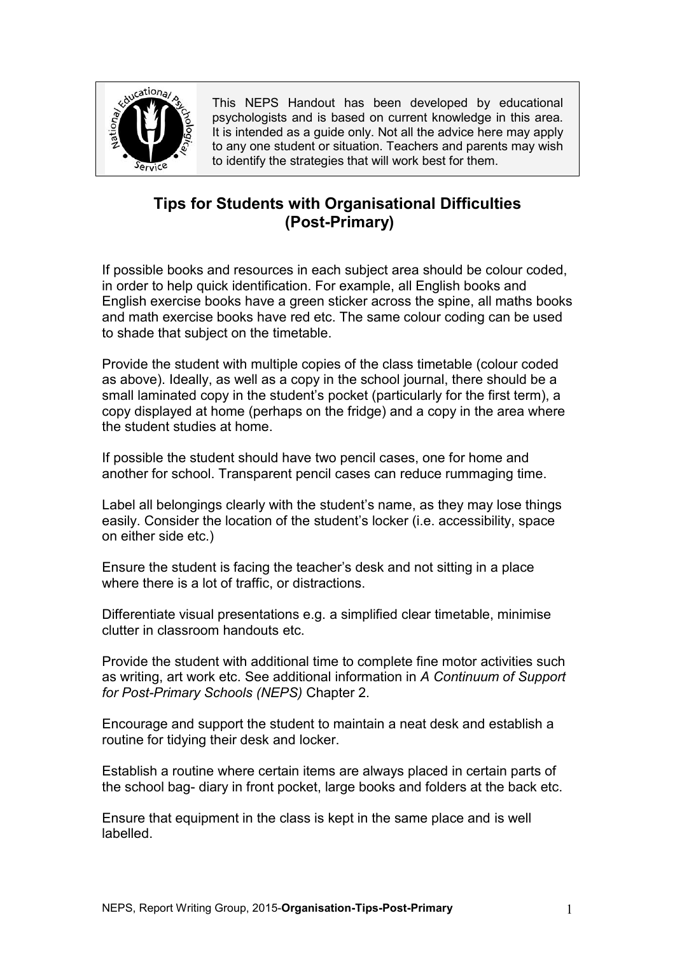

This NEPS Handout has been developed by educational psychologists and is based on current knowledge in this area. It is intended as a quide only. Not all the advice here may apply to any one student or situation. Teachers and parents may wish to identify the strategies that will work best for them.

# **Tips for Students with Organisational Difficulties (Post-Primary)**

If possible books and resources in each subject area should be colour coded, in order to help quick identification. For example, all English books and English exercise books have a green sticker across the spine, all maths books and math exercise books have red etc. The same colour coding can be used to shade that subject on the timetable.

Provide the student with multiple copies of the class timetable (colour coded as above). Ideally, as well as a copy in the school journal, there should be a small laminated copy in the student's pocket (particularly for the first term), a copy displayed at home (perhaps on the fridge) and a copy in the area where the student studies at home.

If possible the student should have two pencil cases, one for home and another for school. Transparent pencil cases can reduce rummaging time.

Label all belongings clearly with the student's name, as they may lose things easily. Consider the location of the student's locker (i.e. accessibility, space on either side etc.)

Ensure the student is facing the teacher's desk and not sitting in a place where there is a lot of traffic, or distractions.

Differentiate visual presentations e.g. a simplified clear timetable, minimise clutter in classroom handouts etc.

Provide the student with additional time to complete fine motor activities such as writing, art work etc. See additional information in *A Continuum of Support for Post-Primary Schools (NEPS)* Chapter 2.

Encourage and support the student to maintain a neat desk and establish a routine for tidying their desk and locker.

Establish a routine where certain items are always placed in certain parts of the school bag- diary in front pocket, large books and folders at the back etc.

Ensure that equipment in the class is kept in the same place and is well labelled.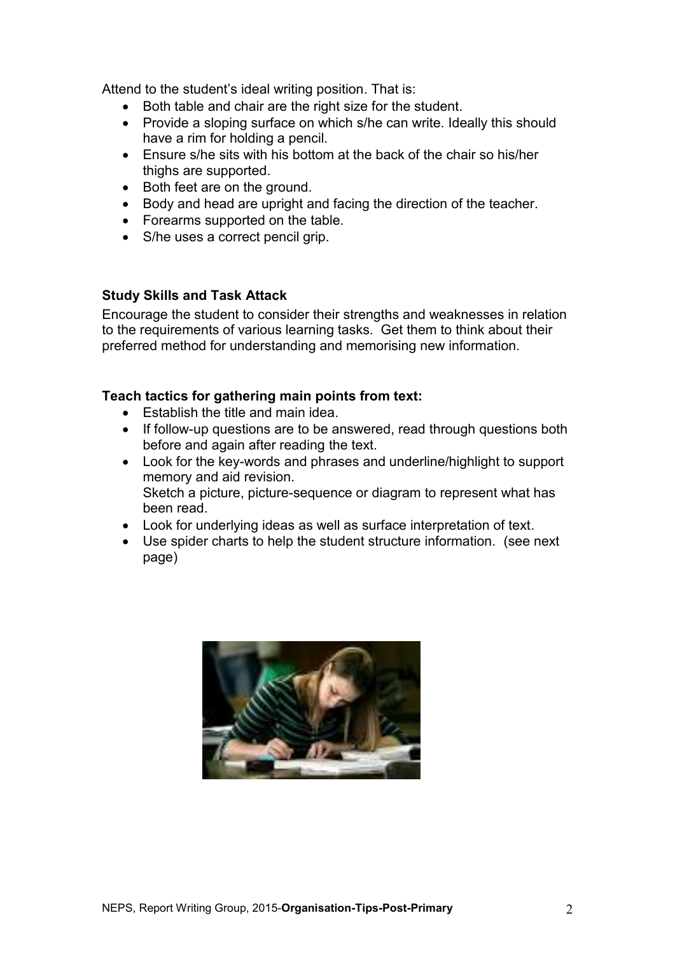Attend to the student's ideal writing position. That is:

- Both table and chair are the right size for the student.
- Provide a sloping surface on which s/he can write. Ideally this should have a rim for holding a pencil.
- Ensure s/he sits with his bottom at the back of the chair so his/her thighs are supported.
- Both feet are on the ground.
- Body and head are upright and facing the direction of the teacher.
- Forearms supported on the table.
- S/he uses a correct pencil grip.

## **Study Skills and Task Attack**

Encourage the student to consider their strengths and weaknesses in relation to the requirements of various learning tasks. Get them to think about their preferred method for understanding and memorising new information.

## **Teach tactics for gathering main points from text:**

- Establish the title and main idea.
- If follow-up questions are to be answered, read through questions both before and again after reading the text.
- Look for the key-words and phrases and underline/highlight to support memory and aid revision. Sketch a picture, picture-sequence or diagram to represent what has been read.
- Look for underlying ideas as well as surface interpretation of text.
- Use spider charts to help the student structure information. (see next page)

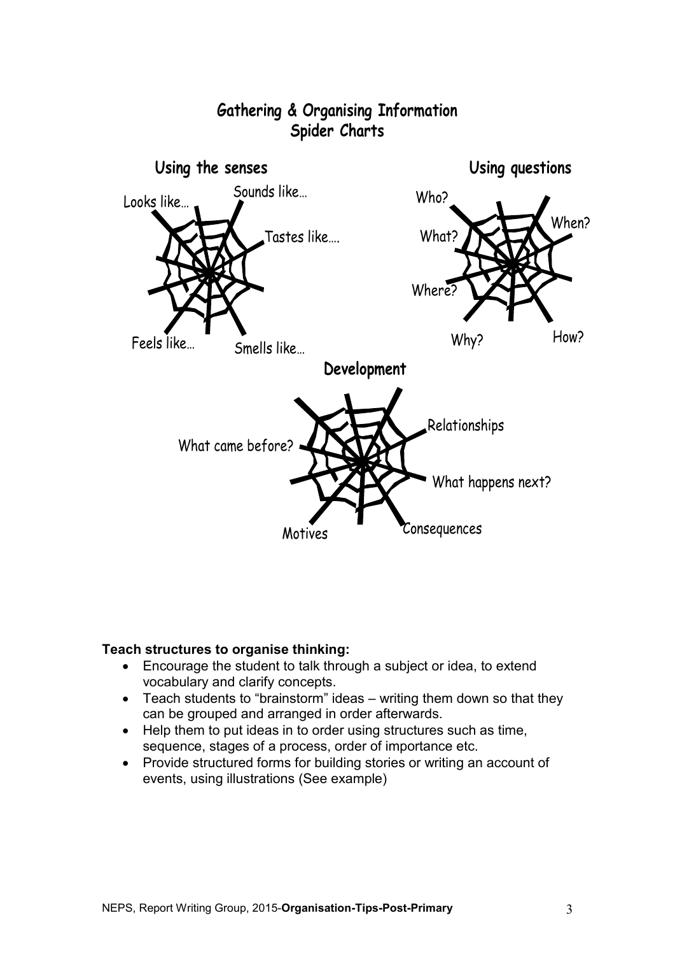

#### **Teach structures to organise thinking:**

- Encourage the student to talk through a subject or idea, to extend vocabulary and clarify concepts.
- Teach students to "brainstorm" ideas writing them down so that they can be grouped and arranged in order afterwards.
- Help them to put ideas in to order using structures such as time, sequence, stages of a process, order of importance etc.
- Provide structured forms for building stories or writing an account of events, using illustrations (See example)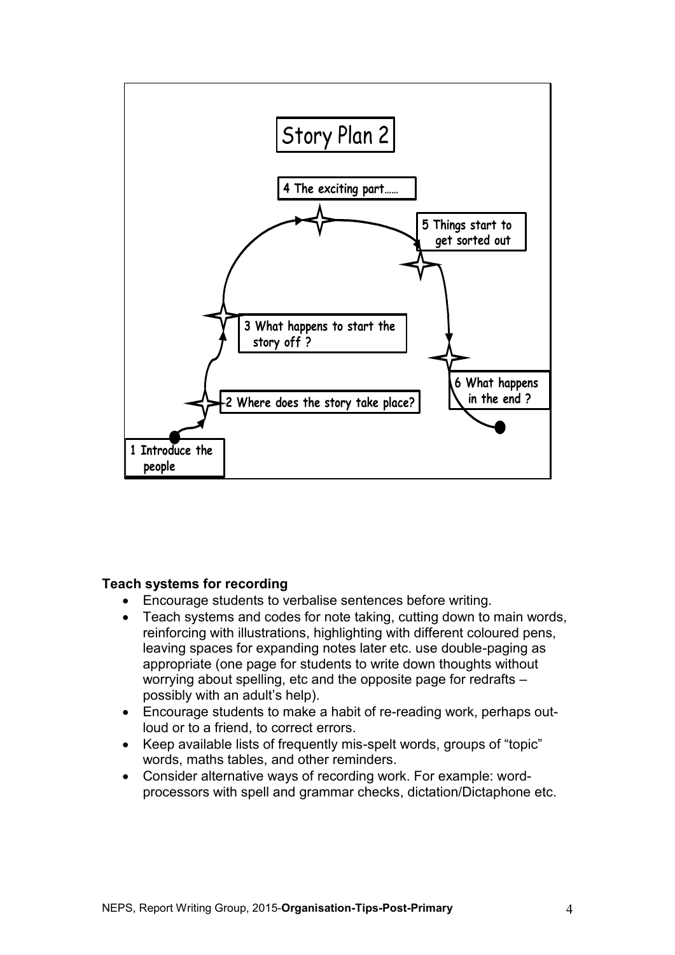

#### **Teach systems for recording**

- Encourage students to verbalise sentences before writing.
- Teach systems and codes for note taking, cutting down to main words, reinforcing with illustrations, highlighting with different coloured pens, leaving spaces for expanding notes later etc. use double-paging as appropriate (one page for students to write down thoughts without worrying about spelling, etc and the opposite page for redrafts – possibly with an adult's help).
- Encourage students to make a habit of re-reading work, perhaps outloud or to a friend, to correct errors.
- Keep available lists of frequently mis-spelt words, groups of "topic" words, maths tables, and other reminders.
- Consider alternative ways of recording work. For example: wordprocessors with spell and grammar checks, dictation/Dictaphone etc.